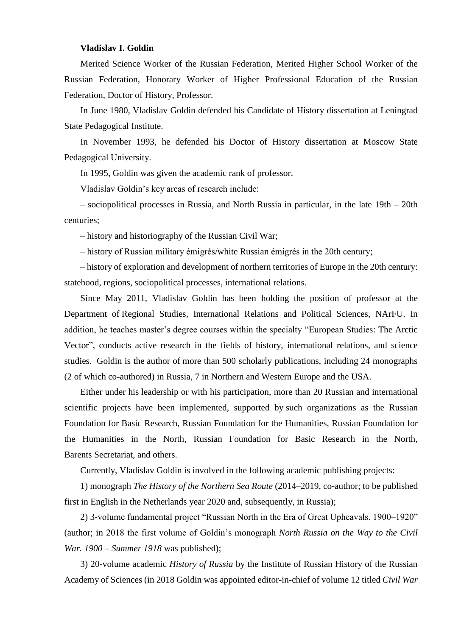## **Vladislav I. Goldin**

Merited Science Worker of the Russian Federation, Merited Higher School Worker of the Russian Federation, Honorary Worker of Higher Professional Education of the Russian Federation, Doctor of History, Professor.

In June 1980, Vladislav Goldin defended his Candidate of History dissertation at Leningrad State Pedagogical Institute.

In November 1993, he defended his Doctor of History dissertation at Moscow State Pedagogical University.

In 1995, Goldin was given the academic rank of professor.

Vladislav Goldin's key areas of research include:

– sociopolitical processes in Russia, and North Russia in particular, in the late 19th – 20th centuries;

– history and historiography of the Russian Civil War;

– history of Russian military émigrés/white Russian émigrés in the 20th century;

– history of exploration and development of northern territories of Europe in the 20th century: statehood, regions, sociopolitical processes, international relations.

Since May 2011, Vladislav Goldin has been holding the position of professor at the Department of Regional Studies, International Relations and Political Sciences, NArFU. In addition, he teaches master's degree courses within the specialty "European Studies: The Arctic Vector", conducts active research in the fields of history, international relations, and science studies. Goldin is the author of more than 500 scholarly publications, including 24 monographs (2 of which co-authored) in Russia, 7 in Northern and Western Europe and the USA.

Either under his leadership or with his participation, more than 20 Russian and international scientific projects have been implemented, supported by such organizations as the Russian Foundation for Basic Research, Russian Foundation for the Humanities, Russian Foundation for the Humanities in the North, Russian Foundation for Basic Research in the North, Barents Secretariat, and others.

Currently, Vladislav Goldin is involved in the following academic publishing projects:

1) monograph *The History of the Northern Sea Route* (2014–2019, co-author; to be published first in English in the Netherlands year 2020 and, subsequently, in Russia);

2) 3-volume fundamental project "Russian North in the Era of Great Upheavals. 1900–1920" (author; in 2018 the first volume of Goldin's monograph *North Russia on the Way to the Civil War. 1900 – Summer 1918* was published);

3) 20-volume academic *History of Russia* by the Institute of Russian History of the Russian Academy of Sciences (in 2018 Goldin was appointed editor-in-chief of volume 12 titled *Civil War*